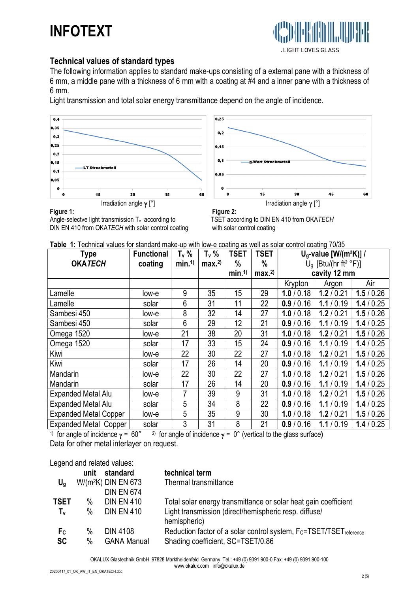# INFOTEXT



#### Technical values of standard types

The following information applies to standard make-ups consisting of a external pane with a thickness of 6 mm, a middle pane with a thickness of 6 mm with a coating at #4 and a inner pane with a thickness of 6 mm.

Light transmission and total solar energy transmittance depend on the angle of incidence.





Figure 1: Figure 2: Angle-selectve light transmission  $T_v$  according to TSET according to DIN EN 410 from OKATECH<br>DIN EN 410 from OKATECH with solar control coating with solar control coating DIN EN 410 from OKATECH with solar control coating

|  |  |  | Table 1: Technical values for standard make-up with low-e coating as well as solar control coating 70/35 |  |  |  |
|--|--|--|----------------------------------------------------------------------------------------------------------|--|--|--|
|  |  |  |                                                                                                          |  |  |  |

| <b>Type</b>                  | <b>Functional</b> | $T_v$ % | $T_v$ %          | <b>TSET</b>   | <b>TSET</b>      | $U_q$ -value [W/(m <sup>2</sup> K)] / |                          |          |
|------------------------------|-------------------|---------|------------------|---------------|------------------|---------------------------------------|--------------------------|----------|
| <b>OKATECH</b>               | coating           | min.1   | max <sub>2</sub> | $\frac{0}{0}$ | %                | $U_q$ [Btu/(hr ft <sup>2</sup> °F)]   |                          |          |
|                              |                   |         |                  | min.1         | max <sub>2</sub> | cavity 12 mm                          |                          |          |
|                              |                   |         |                  |               |                  | Krypton                               | Argon                    | Air      |
| Lamelle                      | low-e             | 9       | 35               | 15            | 29               | 1.0 / 0.18                            | 1.2/0.21                 | 1.5/0.26 |
| Lamelle                      | solar             | 6       | 31               | 11            | 22               | 0.9/0.16                              | 1.1/0.19                 | 1.4/0.25 |
| Sambesi 450                  | low-e             | 8       | 32               | 14            | 27               | 1.0/0.18                              | 1.2/0.21                 | 1.5/0.26 |
| Sambesi 450                  | solar             | 6       | 29               | 12            | 21               | 0.9/0.16                              | 1.1/0.19                 | 1.4/0.25 |
| Omega 1520                   | low-e             | 21      | 38               | 20            | 31               | 1.0 / 0.18                            | 1.2/0.21                 | 1.5/0.26 |
| Omega 1520                   | solar             | 17      | 33               | 15            | 24               | 0.9/0.16                              | 1.1/0.19                 | 1.4/0.25 |
| Kiwi                         | low-e             | 22      | 30               | 22            | 27               | 1.0 / 0.18                            | 0.21<br>1.2 <sub>l</sub> | 1.5/0.26 |
| Kiwi                         | solar             | 17      | 26               | 14            | 20               | 0.9 / 0.16                            | 0.19<br>1.1/             | 1.4/0.25 |
| Mandarin                     | low-e             | 22      | 30               | 22            | 27               | 1.0 / 0.18                            | 1.2/<br>'0.21            | 1.5/0.26 |
| Mandarin                     | solar             | 17      | 26               | 14            | 20               | 0.9/0.16                              | 1.1/0.19                 | 1.4/0.25 |
| <b>Expanded Metal Alu</b>    | low-e             | 7       | 39               | 9             | 31               | 1.0 / 0.18                            | 1.2/0.21                 | 1.5/0.26 |
| <b>Expanded Metal Alu</b>    | solar             | 5       | 34               | 8             | 22               | 0.9/0.16                              | 1.1/0.19                 | 1.4/0.25 |
| <b>Expanded Metal Copper</b> | low-e             | 5       | 35               | 9             | 30               | 1.0 / 0.18                            | 1.2 / 0.21               | 1.5/0.26 |
| <b>Expanded Metal Copper</b> | solar             | 3       | 31               | 8             | 21               | 0.9/0.16                              | 1.1/0.19                 | 1.4/0.25 |

<sup>1)</sup> for angle of incidence  $y = 60^\circ$ <sup>2)</sup> for angle of incidence  $\gamma = 0^{\circ}$  (vertical to the glass surface) Data for other metal interlayer on request.

Legend and related values:

|                             | unit      | standard                              | technical term                                                                                                                  |
|-----------------------------|-----------|---------------------------------------|---------------------------------------------------------------------------------------------------------------------------------|
| $U_{\alpha}$                |           | W/(m <sup>2</sup> K) DIN EN 673       | Thermal transmittance                                                                                                           |
|                             |           | <b>DIN EN 674</b>                     |                                                                                                                                 |
| <b>TSET</b>                 | $\%$      | <b>DIN EN 410</b>                     | Total solar energy transmittance or solar heat gain coefficient                                                                 |
| Tv                          | $\%$      | <b>DIN EN 410</b>                     | Light transmission (direct/hemispheric resp. diffuse/<br>hemispheric)                                                           |
| F <sub>C</sub><br><b>SC</b> | %<br>$\%$ | <b>DIN 4108</b><br><b>GANA Manual</b> | Reduction factor of a solar control system, F <sub>C</sub> =TSET/TSET <sub>reference</sub><br>Shading coefficient, SC=TSET/0.86 |

OKALUX Glastechnik GmbH 97828 Marktheidenfeld Germany Tel.: +49 (0) 9391 900-0 Fax: +49 (0) 9391 900-100 www.okalux.com info@okalux.de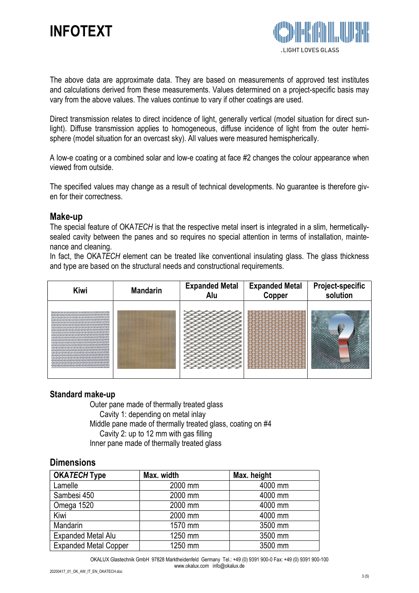

The above data are approximate data. They are based on measurements of approved test institutes and calculations derived from these measurements. Values determined on a project-specific basis may vary from the above values. The values continue to vary if other coatings are used.

Direct transmission relates to direct incidence of light, generally vertical (model situation for direct sunlight). Diffuse transmission applies to homogeneous, diffuse incidence of light from the outer hemisphere (model situation for an overcast sky). All values were measured hemispherically.

A low-e coating or a combined solar and low-e coating at face #2 changes the colour appearance when viewed from outside.

The specified values may change as a result of technical developments. No guarantee is therefore given for their correctness.

#### Make-up

The special feature of OKATECH is that the respective metal insert is integrated in a slim, hermeticallysealed cavity between the panes and so requires no special attention in terms of installation, maintenance and cleaning.

In fact, the OKATECH element can be treated like conventional insulating glass. The glass thickness and type are based on the structural needs and constructional requirements.

| <b>Kiwi</b>                                                                                                                             | <b>Mandarin</b> | <b>Expanded Metal</b><br>Alu | <b>Expanded Metal</b><br>Copper | <b>Project-specific</b><br>solution |  |
|-----------------------------------------------------------------------------------------------------------------------------------------|-----------------|------------------------------|---------------------------------|-------------------------------------|--|
| ת התחתונות התחתונות התחתונות<br>,,,,,,,,,,,,,,,,,,,,,,,,,,,<br>nn nn na manainn an an a<br>mmmmmmmm<br>תתתתתתחתחתחת<br><u>mmmmmmmmm</u> |                 |                              |                                 |                                     |  |

#### Standard make-up

Outer pane made of thermally treated glass Cavity 1: depending on metal inlay Middle pane made of thermally treated glass, coating on #4 Cavity 2: up to 12 mm with gas filling Inner pane made of thermally treated glass

#### **Dimensions**

| <b>OKATECH Type</b>          | Max. width | Max. height |  |
|------------------------------|------------|-------------|--|
| Lamelle                      | 2000 mm    | 4000 mm     |  |
| Sambesi 450                  | 2000 mm    | 4000 mm     |  |
| Omega 1520                   | 2000 mm    | 4000 mm     |  |
| Kiwi                         | 2000 mm    | 4000 mm     |  |
| Mandarin                     | 1570 mm    | 3500 mm     |  |
| <b>Expanded Metal Alu</b>    | 1250 mm    | 3500 mm     |  |
| <b>Expanded Metal Copper</b> | 1250 mm    | 3500 mm     |  |

OKALUX Glastechnik GmbH 97828 Marktheidenfeld Germany Tel.: +49 (0) 9391 900-0 Fax: +49 (0) 9391 900-100 www.okalux.com info@okalux.de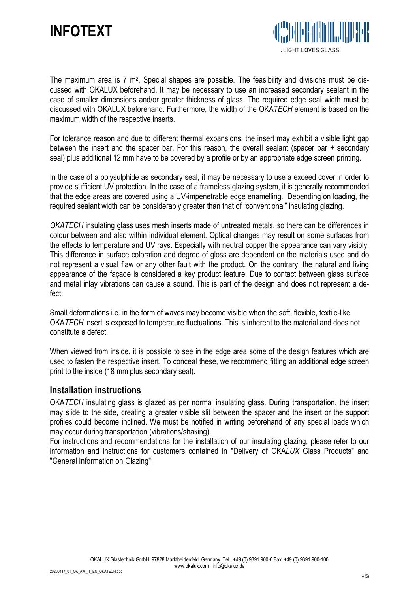

The maximum area is  $7 \, \text{m}^2$ . Special shapes are possible. The feasibility and divisions must be discussed with OKALUX beforehand. It may be necessary to use an increased secondary sealant in the case of smaller dimensions and/or greater thickness of glass. The required edge seal width must be discussed with OKALUX beforehand. Furthermore, the width of the OKATECH element is based on the maximum width of the respective inserts.

For tolerance reason and due to different thermal expansions, the insert may exhibit a visible light gap between the insert and the spacer bar. For this reason, the overall sealant (spacer bar + secondary seal) plus additional 12 mm have to be covered by a profile or by an appropriate edge screen printing.

In the case of a polysulphide as secondary seal, it may be necessary to use a exceed cover in order to provide sufficient UV protection. In the case of a frameless glazing system, it is generally recommended that the edge areas are covered using a UV-impenetrable edge enamelling. Depending on loading, the required sealant width can be considerably greater than that of "conventional" insulating glazing.

OKATECH insulating glass uses mesh inserts made of untreated metals, so there can be differences in colour between and also within individual element. Optical changes may result on some surfaces from the effects to temperature and UV rays. Especially with neutral copper the appearance can vary visibly. This difference in surface coloration and degree of gloss are dependent on the materials used and do not represent a visual flaw or any other fault with the product. On the contrary, the natural and living appearance of the façade is considered a key product feature. Due to contact between glass surface and metal inlay vibrations can cause a sound. This is part of the design and does not represent a defect.

Small deformations i.e. in the form of waves may become visible when the soft, flexible, textile-like OKATECH insert is exposed to temperature fluctuations. This is inherent to the material and does not constitute a defect.

When viewed from inside, it is possible to see in the edge area some of the design features which are used to fasten the respective insert. To conceal these, we recommend fitting an additional edge screen print to the inside (18 mm plus secondary seal).

#### Installation instructions

OKATECH insulating glass is glazed as per normal insulating glass. During transportation, the insert may slide to the side, creating a greater visible slit between the spacer and the insert or the support profiles could become inclined. We must be notified in writing beforehand of any special loads which may occur during transportation (vibrations/shaking).

For instructions and recommendations for the installation of our insulating glazing, please refer to our information and instructions for customers contained in "Delivery of OKALUX Glass Products" and "General Information on Glazing".